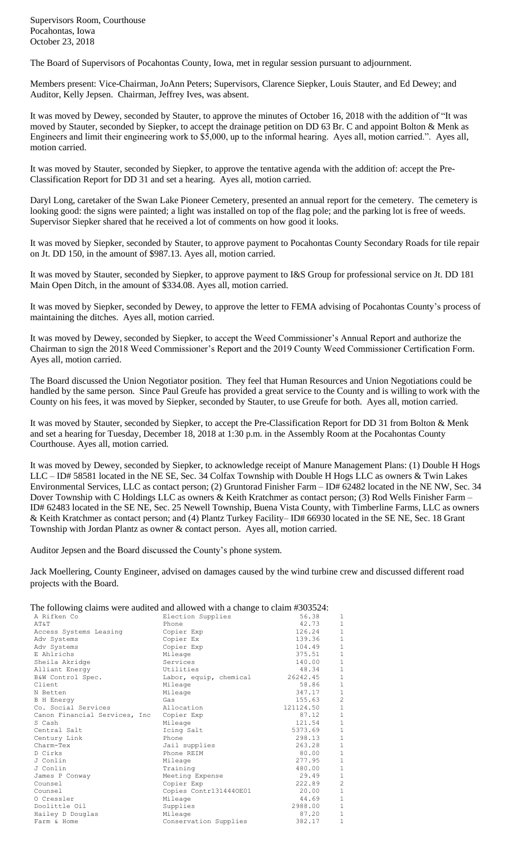Supervisors Room, Courthouse Pocahontas, Iowa October 23, 2018

The Board of Supervisors of Pocahontas County, Iowa, met in regular session pursuant to adjournment.

Members present: Vice-Chairman, JoAnn Peters; Supervisors, Clarence Siepker, Louis Stauter, and Ed Dewey; and Auditor, Kelly Jepsen. Chairman, Jeffrey Ives, was absent.

It was moved by Dewey, seconded by Stauter, to approve the minutes of October 16, 2018 with the addition of "It was moved by Stauter, seconded by Siepker, to accept the drainage petition on DD 63 Br. C and appoint Bolton & Menk as Engineers and limit their engineering work to \$5,000, up to the informal hearing. Ayes all, motion carried.". Ayes all, motion carried.

It was moved by Stauter, seconded by Siepker, to approve the tentative agenda with the addition of: accept the Pre-Classification Report for DD 31 and set a hearing. Ayes all, motion carried.

Daryl Long, caretaker of the Swan Lake Pioneer Cemetery, presented an annual report for the cemetery. The cemetery is looking good: the signs were painted; a light was installed on top of the flag pole; and the parking lot is free of weeds. Supervisor Siepker shared that he received a lot of comments on how good it looks.

It was moved by Siepker, seconded by Stauter, to approve payment to Pocahontas County Secondary Roads for tile repair on Jt. DD 150, in the amount of \$987.13. Ayes all, motion carried.

It was moved by Stauter, seconded by Siepker, to approve payment to I&S Group for professional service on Jt. DD 181 Main Open Ditch, in the amount of \$334.08. Ayes all, motion carried.

It was moved by Siepker, seconded by Dewey, to approve the letter to FEMA advising of Pocahontas County's process of maintaining the ditches. Ayes all, motion carried.

It was moved by Dewey, seconded by Siepker, to accept the Weed Commissioner's Annual Report and authorize the Chairman to sign the 2018 Weed Commissioner's Report and the 2019 County Weed Commissioner Certification Form. Ayes all, motion carried.

The Board discussed the Union Negotiator position. They feel that Human Resources and Union Negotiations could be handled by the same person. Since Paul Greufe has provided a great service to the County and is willing to work with the County on his fees, it was moved by Siepker, seconded by Stauter, to use Greufe for both. Ayes all, motion carried.

It was moved by Stauter, seconded by Siepker, to accept the Pre-Classification Report for DD 31 from Bolton & Menk and set a hearing for Tuesday, December 18, 2018 at 1:30 p.m. in the Assembly Room at the Pocahontas County Courthouse. Ayes all, motion carried.

It was moved by Dewey, seconded by Siepker, to acknowledge receipt of Manure Management Plans: (1) Double H Hogs LLC – ID# 58581 located in the NE SE, Sec. 34 Colfax Township with Double H Hogs LLC as owners & Twin Lakes Environmental Services, LLC as contact person; (2) Gruntorad Finisher Farm – ID# 62482 located in the NE NW, Sec. 34 Dover Township with C Holdings LLC as owners & Keith Kratchmer as contact person; (3) Rod Wells Finisher Farm – ID# 62483 located in the SE NE, Sec. 25 Newell Township, Buena Vista County, with Timberline Farms, LLC as owners & Keith Kratchmer as contact person; and (4) Plantz Turkey Facility– ID# 66930 located in the SE NE, Sec. 18 Grant Township with Jordan Plantz as owner & contact person. Ayes all, motion carried.

Auditor Jepsen and the Board discussed the County's phone system.

Jack Moellering, County Engineer, advised on damages caused by the wind turbine crew and discussed different road projects with the Board.

The following claims were audited and allowed with a change to claim #303524:

| The following elarns were addited and allowed with a change to claim h50552-7. |                        |           |                |
|--------------------------------------------------------------------------------|------------------------|-----------|----------------|
| A Rifken Co                                                                    | Election Supplies      | 56.38     | 1              |
| AT&T                                                                           | Phone                  | 42.73     | $\mathbf{1}$   |
| Access Systems Leasing                                                         | Copier Exp             | 126.24    | $\,1\,$        |
| Adv Systems                                                                    | Copier Ex              | 139.36    | $1\,$          |
| Adv Systems                                                                    | Copier Exp             | 104.49    | $\overline{1}$ |
| E Ahlrichs                                                                     | Mileage                | 375.51    | $\,1\,$        |
| Sheila Akridge                                                                 | Services               | 140.00    | $\mathbf{1}$   |
| Alliant Energy                                                                 | Utilities              | 48.34     | $\,1\,$        |
| B&W Control Spec.                                                              | Labor, equip, chemical | 26242.45  | $1\,$          |
| Client                                                                         | Mileage                | 58.86     | $\mathbf{1}$   |
| N Betten                                                                       | Mileage                | 347.17    | $\,1\,$        |
| <b>B</b> H Energy                                                              | Gas                    | 155.63    | $\overline{c}$ |
| Co. Social Services                                                            | Allocation             | 121124.50 | $\mathbf 1$    |
| Canon Financial Services, Inc                                                  | Copier Exp             | 87.12     | $\,1\,$        |
| S Cash                                                                         | Mileage                | 121.54    | $\mathbf 1$    |
| Central Salt                                                                   | Icing Salt             | 5373.69   | $\mathbf 1$    |
| Century Link                                                                   | Phone                  | 298.13    | $\,1\,$        |
| Charm-Tex                                                                      | Jail supplies          | 263.28    | $\,1\,$        |
| D Cirks                                                                        | Phone REIM             | 80.00     | $\,1$          |
| J Conlin                                                                       | Mileage                | 277.95    | $\mathbf{1}$   |
| J Conlin                                                                       | Training               | 480.00    | $1\,$          |
| James P Conway                                                                 | Meeting Expense        | 29.49     | $\,1\,$        |
| Counsel                                                                        | Copier Exp             | 222.89    | $\overline{c}$ |
| Counsel                                                                        | Copies Contr1314440E01 | 20.00     | $\,1\,$        |
| O Cressler                                                                     | Mileage                | 44.69     | $\,1\,$        |
| Doolittle Oil                                                                  | Supplies               | 2988.00   | $1\,$          |
| Hailey D Douglas                                                               | Mileage                | 87.20     | $1\,$          |
| Farm & Home                                                                    | Conservation Supplies  | 382.17    | $\mathbf{1}$   |
|                                                                                |                        |           |                |